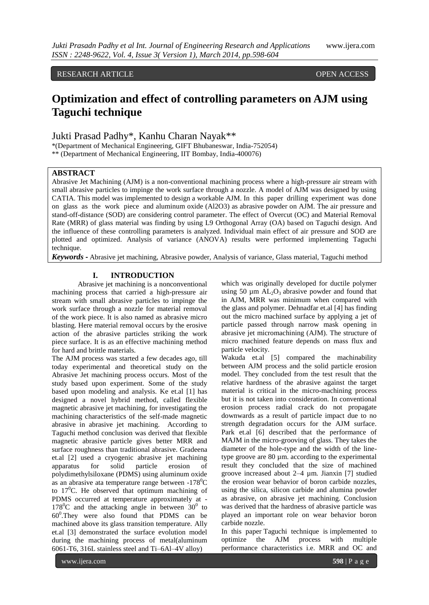# RESEARCH ARTICLE OPEN ACCESS

# **Optimization and effect of controlling parameters on AJM using Taguchi technique**

Jukti Prasad Padhy\*, Kanhu Charan Nayak\*\*

\*(Department of Mechanical Engineering, GIFT Bhubaneswar, India-752054)

\*\* (Department of Mechanical Engineering, IIT Bombay, India-400076)

## **ABSTRACT**

Abrasive Jet Machining (AJM) is a non-conventional machining process where a high-pressure air stream with small abrasive particles to impinge the work surface through a nozzle. A model of AJM was designed by using CATIA. This model was implemented to design a workable AJM. In this paper drilling experiment was done on glass as the work piece and aluminum oxide (Al2O3) as abrasive powder on AJM. The air pressure and stand-off-distance (SOD) are considering control parameter. The effect of Overcut (OC) and Material Removal Rate (MRR) of glass material was finding by using L9 Orthogonal Array (OA) based on Taguchi design. And the influence of these controlling parameters is analyzed. Individual main effect of air pressure and SOD are plotted and optimized. Analysis of variance (ANOVA) results were performed implementing Taguchi technique.

*Keywords* **-** Abrasive jet machining, Abrasive powder, Analysis of variance, Glass material, Taguchi method

## **I. INTRODUCTION**

Abrasive jet machining is a nonconventional machining process that carried a high-pressure air stream with small abrasive particles to impinge the work surface through a nozzle for material removal of the work piece. It is also named as abrasive micro blasting. Here material removal occurs by the erosive action of the abrasive particles striking the work piece surface. It is as an effective machining method for hard and brittle materials.

The AJM process was started a few decades ago, till today experimental and theoretical study on the Abrasive Jet machining process occurs. Most of the study based upon experiment. Some of the study based upon modeling and analysis. Ke et.al [1] has designed a novel hybrid method, called flexible magnetic abrasive jet machining, for investigating the machining characteristics of the self-made magnetic abrasive in abrasive jet machining. According to Taguchi method conclusion was derived that flexible magnetic abrasive particle gives better MRR and surface roughness than traditional abrasive. Gradeena et.al [2] used a cryogenic abrasive jet machining apparatus for solid particle erosion of polydimethylsiloxane (PDMS) using aluminum oxide as an abrasive ata temperature range between  $-178^{\circ}$ C to  $17^0$ C. He observed that optimum machining of PDMS occurred at temperature approximately at -  $178^{\circ}$ C and the attacking angle in between  $30^{\circ}$  to 60<sup>0</sup> .They were also found that PDMS can be machined above its glass transition temperature. Ally et.al [3] demonstrated the surface evolution model during the machining process of metal(aluminum 6061-T6, 316L stainless steel and Ti–6Al–4V alloy)

which was originally developed for ductile polymer using 50  $\mu$ m AL<sub>2</sub>O<sub>3</sub> abrasive powder and found that in AJM, MRR was minimum when compared with the glass and polymer. Dehnadfar et.al [4] has finding out the micro machined surface by applying a jet of particle passed through narrow mask opening in abrasive jet micromachining (AJM). The structure of micro machined feature depends on mass flux and particle velocity.

Wakuda et.al [5] compared the machinability between AJM process and the solid particle erosion model. They concluded from the test result that the relative hardness of the abrasive against the target material is critical in the micro-machining process but it is not taken into consideration. In conventional erosion process radial crack do not propagate downwards as a result of particle impact due to no strength degradation occurs for the AJM surface. Park et.al [6] described that the performance of MAJM in the micro-grooving of glass. They takes the diameter of the hole-type and the width of the linetype groove are 80 µm. according to the experimental result they concluded that the size of machined groove increased about 2–4 µm. Jianxin [7] studied the erosion wear behavior of boron carbide nozzles, using the silica, silicon carbide and alumina powder as abrasive, on abrasive jet machining. Conclusion was derived that the hardness of abrasive particle was played an important role on wear behavior boron carbide nozzle.

In this paper Taguchi technique is implemented to optimize the AJM process with multiple performance characteristics i.e. MRR and OC and

www.ijera.com **598** | P a g e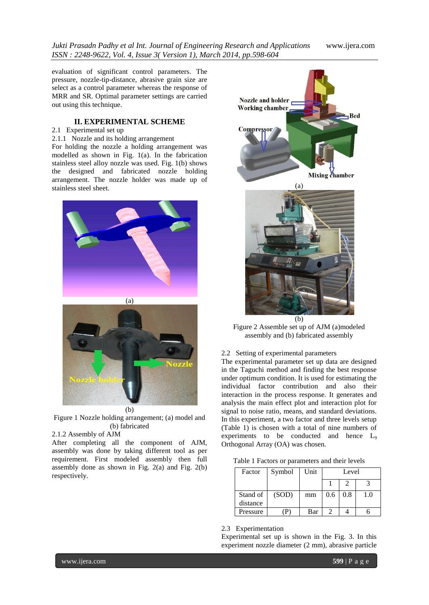evaluation of significant control parameters. The pressure, nozzle-tip-distance, abrasive grain size are select as a control parameter whereas the response of MRR and SR. Optimal parameter settings are carried out using this technique.

## **II. EXPERIMENTAL SCHEME**

## 2.1 Experimental set up

2.1.1 Nozzle and its holding arrangement

For holding the nozzle a holding arrangement was modelled as shown in Fig. 1(a). In the fabrication stainless steel alloy nozzle was used. Fig. 1(b) shows the designed and fabricated nozzle holding arrangement. The nozzle holder was made up of stainless steel sheet.





Figure 1 Nozzle holding arrangement; (a) model and (b) fabricated

### 2.1.2 Assembly of AJM

After completing all the component of AJM, assembly was done by taking different tool as per requirement. First modeled assembly then full assembly done as shown in Fig.  $2(a)$  and Fig.  $2(b)$ respectively.



Figure 2 Assemble set up of AJM (a)modeled assembly and (b) fabricated assembly

## 2.2 Setting of experimental parameters

The experimental parameter set up data are designed in the Taguchi method and finding the best response under optimum condition. It is used for estimating the individual factor contribution and also their interaction in the process response. It generates and analysis the main effect plot and interaction plot for signal to noise ratio, means, and standard deviations. In this experiment, a two factor and three levels setup (Table 1) is chosen with a total of nine numbers of experiments to be conducted and hence L<sup>9</sup> Orthogonal Array (OA) was chosen.

|  | Table 1 Factors or parameters and their levels |  |  |
|--|------------------------------------------------|--|--|
|--|------------------------------------------------|--|--|

| Factor   | Symbol | Unit | Level |     |     |
|----------|--------|------|-------|-----|-----|
|          |        |      |       |     |     |
| Stand of | (SOD)  | mm   | 0.6   | 0.8 | 1.0 |
| distance |        |      |       |     |     |
| Pressure |        | Bar  |       |     |     |

2.3 Experimentation

Experimental set up is shown in the Fig. 3. In this experiment nozzle diameter (2 mm), abrasive particle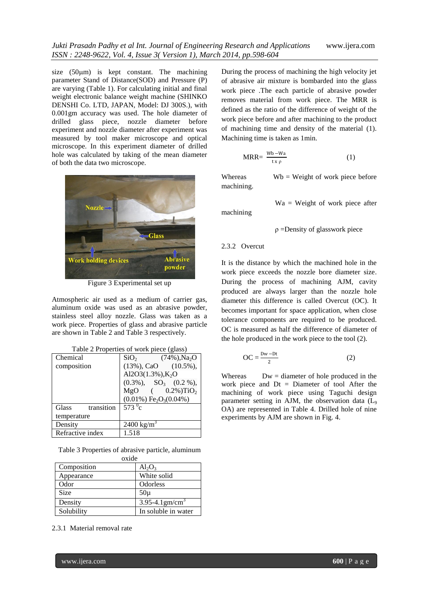size  $(50 \mu m)$  is kept constant. The machining parameter Stand of Distance(SOD) and Pressure (P) are varying (Table 1). For calculating initial and final weight electronic balance weight machine (SHINKO DENSHI Co. LTD, JAPAN, Model: DJ 300S.), with 0.001gm accuracy was used. The hole diameter of drilled glass piece, nozzle diameter before experiment and nozzle diameter after experiment was measured by tool maker microscope and optical microscope. In this experiment diameter of drilled hole was calculated by taking of the mean diameter of both the data two microscope.



Figure 3 Experimental set up

Atmospheric air used as a medium of carrier gas, aluminum oxide was used as an abrasive powder, stainless steel alloy nozzle. Glass was taken as a work piece. Properties of glass and abrasive particle are shown in Table 2 and Table 3 respectively.

| Chemical            | SiO <sub>2</sub><br>$(74\%)$ , Na <sub>2</sub> O  |  |  |  |  |
|---------------------|---------------------------------------------------|--|--|--|--|
| composition         | $(13\%),$ CaO $(10.5\%),$                         |  |  |  |  |
|                     | Al2O3(1.3%), $K_2O$                               |  |  |  |  |
|                     | $(0.3\%)$ , $SO_3$ $(0.2\%)$ ,                    |  |  |  |  |
|                     | $MgO$ ( 0.2%) $TiO2$                              |  |  |  |  |
|                     | $(0.01\%)$ Fe <sub>2</sub> O <sub>3</sub> (0.04%) |  |  |  |  |
| transition<br>Glass | $573^{\circ}$ c                                   |  |  |  |  |
| temperature         |                                                   |  |  |  |  |
| Density             | $2400 \text{ kg/m}^3$                             |  |  |  |  |
| Refractive index    | 1.518                                             |  |  |  |  |

Table 2 Properties of work piece (glass)

Table 3 Properties of abrasive particle, aluminum oxide

| Composition | $Al_2O_3$                       |
|-------------|---------------------------------|
| Appearance  | White solid                     |
| Odor        | Odorless                        |
| <b>Size</b> | $50\mu$                         |
| Density     | $3.95 - 4.1$ gm/cm <sup>2</sup> |
| Solubility  | In soluble in water             |

2.3.1 Material removal rate

During the process of machining the high velocity jet of abrasive air mixture is bombarded into the glass work piece .The each particle of abrasive powder removes material from work piece. The MRR is defined as the ratio of the difference of weight of the work piece before and after machining to the product of machining time and density of the material (1). Machining time is taken as 1min.

$$
MRR = \frac{Wb - Wa}{tx\rho} \tag{1}
$$

Whereas  $Wb = Weight of work piece before$ machining.

Wa = Weight of work piece after

machining

$$
\rho
$$
 =Density of glasswork piece

#### 2.3.2 Overcut

It is the distance by which the machined hole in the work piece exceeds the nozzle bore diameter size. During the process of machining AJM, cavity produced are always larger than the nozzle hole diameter this difference is called Overcut (OC). It becomes important for space application, when close tolerance components are required to be produced. OC is measured as half the difference of diameter of the hole produced in the work piece to the tool (2).

$$
OC = \frac{Dw - Dt}{2}
$$
 (2)

Whereas  $Dw =$  diameter of hole produced in the work piece and Dt = Diameter of tool After the machining of work piece using Taguchi design parameter setting in AJM, the observation data (L<sup>9</sup> OA) are represented in Table 4. Drilled hole of nine experiments by AJM are shown in Fig. 4.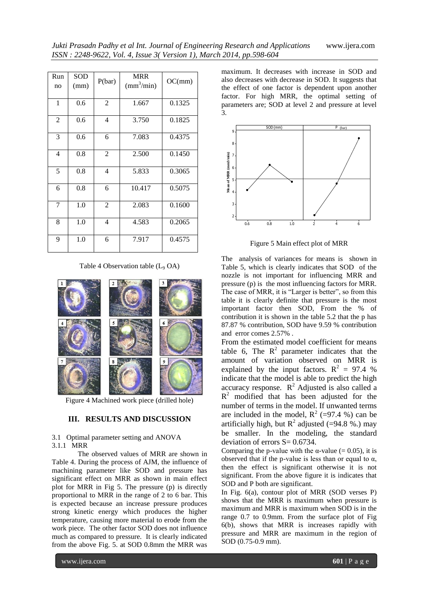| Run<br>no      | <b>SOD</b><br>(mm) | P(bar)         | <b>MRR</b><br>$\text{(mm}^3/\text{min})$ | OC(mm) |
|----------------|--------------------|----------------|------------------------------------------|--------|
| 1              | 0.6                | $\overline{2}$ | 1.667                                    | 0.1325 |
| $\overline{2}$ | 0.6                | 4              | 3.750                                    | 0.1825 |
| 3              | 0.6                | 6              | 7.083                                    | 0.4375 |
| 4              | 0.8                | $\overline{2}$ | 2.500                                    | 0.1450 |
| 5              | 0.8                | 4              | 5.833                                    | 0.3065 |
| 6              | 0.8                | 6              | 10.417                                   | 0.5075 |
| 7              | 1.0                | $\overline{2}$ | 2.083                                    | 0.1600 |
| 8              | 1.0                | 4              | 4.583                                    | 0.2065 |
| 9              | 1.0                | 6              | 7.917                                    | 0.4575 |

Table 4 Observation table  $(L_9 \text{ OA})$ 



Figure 4 Machined work piece (drilled hole)

#### **III. RESULTS AND DISCUSSION**

#### 3.1 Optimal parameter setting and ANOVA 3.1.1 MRR

The observed values of MRR are shown in Table 4. During the process of AJM, the influence of machining parameter like SOD and pressure has significant effect on MRR as shown in main effect plot for MRR in Fig 5. The pressure (p) is directly proportional to MRR in the range of 2 to 6 bar. This is expected because an increase pressure produces strong kinetic energy which produces the higher temperature, causing more material to erode from the work piece. The other factor SOD does not influence much as compared to pressure. It is clearly indicated from the above Fig. 5. at SOD 0.8mm the MRR was

maximum. It decreases with increase in SOD and also decreases with decrease in SOD. It suggests that the effect of one factor is dependent upon another factor. For high MRR, the optimal setting of parameters are; SOD at level 2 and pressure at level 3.



Figure 5 Main effect plot of MRR

The analysis of variances for means is shown in Table 5, which is clearly indicates that SOD of the nozzle is not important for influencing MRR and pressure (p) is the most influencing factors for MRR. The case of MRR, it is "Larger is better", so from this table it is clearly definite that pressure is the most important factor then SOD, From the % of contribution it is shown in the table 5.2 that the p has 87.87 % contribution, SOD have 9.59 % contribution and error comes 2.57% .

From the estimated model coefficient for means table 6, The  $R^2$  parameter indicates that the amount of variation observed on MRR is explained by the input factors.  $R^2 = 97.4$  % indicate that the model is able to predict the high accuracy response.  $R^2$  Adjusted is also called a  $R<sup>2</sup>$  modified that has been adjusted for the number of terms in the model. If unwanted terms are included in the model,  $R^2$  (=97.4 %) can be artificially high, but  $R^2$  adjusted (=94.8 %.) may be smaller. In the modeling, the standard deviation of errors  $S = 0.6734$ .

Comparing the p-value with the  $\alpha$ -value (= 0.05), it is observed that if the p-value is less than or equal to  $α$ , then the effect is significant otherwise it is not significant. From the above figure it is indicates that SOD and P both are significant.

In Fig. 6(a), contour plot of MRR (SOD verses P) shows that the MRR is maximum when pressure is maximum and MRR is maximum when SOD is in the range 0.7 to 0.9mm. From the surface plot of Fig 6(b), shows that MRR is increases rapidly with pressure and MRR are maximum in the region of SOD (0.75-0.9 mm).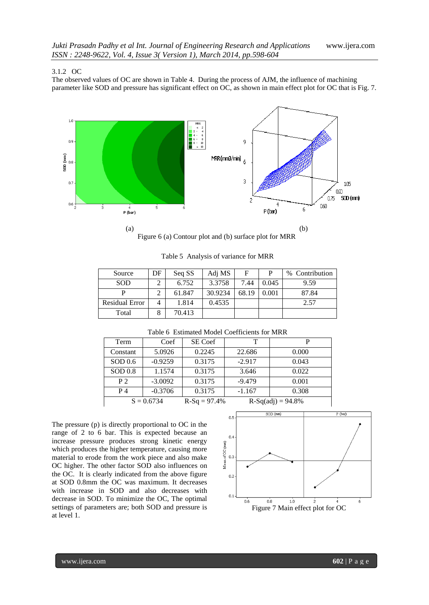#### 3.1.2 OC

The observed values of OC are shown in Table 4. During the process of AJM, the influence of machining parameter like SOD and pressure has significant effect on OC, as shown in main effect plot for OC that is Fig. 7.



Figure 6 (a) Contour plot and (b) surface plot for MRR

Table 5 Analysis of variance for MRR

| Source                | DF | Seq SS | Adj MS  | F     | P     | % Contribution |
|-----------------------|----|--------|---------|-------|-------|----------------|
| <b>SOD</b>            |    | 6.752  | 3.3758  | 7.44  | 0.045 | 9.59           |
|                       |    | 61.847 | 30.9234 | 68.19 | 0.001 | 87.84          |
| <b>Residual Error</b> |    | 1.814  | 0.4535  |       |       | 2.57           |
| Total                 |    | 70.413 |         |       |       |                |

| Term                                                  | Coef      | SE Coef | т        | P     |  |  |  |
|-------------------------------------------------------|-----------|---------|----------|-------|--|--|--|
| Constant                                              | 5.0926    | 0.2245  | 22.686   | 0.000 |  |  |  |
| SOD 0.6                                               | $-0.9259$ | 0.3175  | $-2.917$ | 0.043 |  |  |  |
| SOD 0.8                                               | 1.1574    | 0.3175  | 3.646    | 0.022 |  |  |  |
| P <sub>2</sub>                                        | $-3.0092$ | 0.3175  | $-9.479$ | 0.001 |  |  |  |
| $P_4$                                                 | $-0.3706$ | 0.3175  | $-1.167$ | 0.308 |  |  |  |
| $S = 0.6734$<br>$R-Sq = 97.4%$<br>$R-Sq(adj) = 94.8%$ |           |         |          |       |  |  |  |

The pressure (p) is directly proportional to OC in the range of 2 to 6 bar. This is expected because an increase pressure produces strong kinetic energy which produces the higher temperature, causing more material to erode from the work piece and also make OC higher. The other factor SOD also influences on the OC. It is clearly indicated from the above figure at SOD 0.8mm the OC was maximum. It decreases with increase in SOD and also decreases with decrease in SOD. To minimize the OC, The optimal settings of parameters are; both SOD and pressure is at level 1.

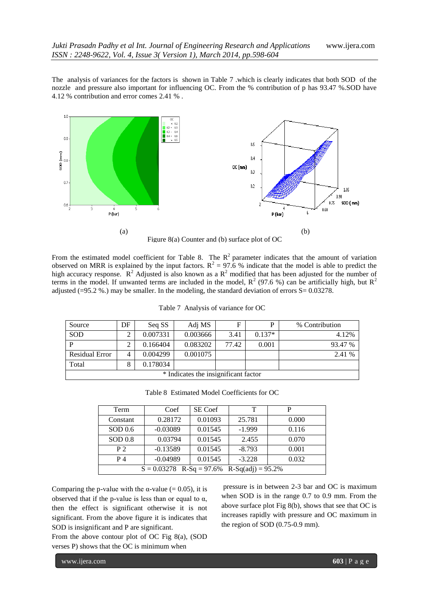The analysis of variances for the factors is shown in Table 7 .which is clearly indicates that both SOD of the nozzle and pressure also important for influencing OC. From the % contribution of p has 93.47 %.SOD have 4.12 % contribution and error comes 2.41 % .



From the estimated model coefficient for Table 8. The  $R^2$  parameter indicates that the amount of variation observed on MRR is explained by the input factors.  $R^2 = 97.6$  % indicate that the model is able to predict the high accuracy response.  $R^2$  Adjusted is also known as a  $R^2$  modified that has been adjusted for the number of terms in the model. If unwanted terms are included in the model,  $R^2$  (97.6 %) can be artificially high, but  $R^2$ adjusted (=95.2 %.) may be smaller. In the modeling, the standard deviation of errors  $S = 0.03278$ .

| Source                               | DF | Seq SS   | Adj MS   | F     | P        | % Contribution |
|--------------------------------------|----|----------|----------|-------|----------|----------------|
| <b>SOD</b>                           | 2  | 0.007331 | 0.003666 | 3.41  | $0.137*$ | 4.12%          |
| P                                    | C  | 0.166404 | 0.083202 | 77.42 | 0.001    | 93.47 %        |
| <b>Residual Error</b>                | 4  | 0.004299 | 0.001075 |       |          | 2.41 %         |
| Total                                | 8  | 0.178034 |          |       |          |                |
| * Indicates the insignificant factor |    |          |          |       |          |                |

Table 7 Analysis of variance for OC

Table 8 Estimated Model Coefficients for OC

| Term                                         | Coef       | SE Coef | т        | P     |  |
|----------------------------------------------|------------|---------|----------|-------|--|
| Constant                                     | 0.28172    | 0.01093 | 25.781   | 0.000 |  |
| SOD 0.6                                      | $-0.03089$ | 0.01545 | $-1.999$ | 0.116 |  |
| SOD 0.8                                      | 0.03794    | 0.01545 | 2.455    | 0.070 |  |
| P <sub>2</sub>                               | $-0.13589$ | 0.01545 | $-8.793$ | 0.001 |  |
| $P_4$                                        | $-0.04989$ | 0.01545 | $-3.228$ | 0.032 |  |
| $S = 0.03278$ R-Sq = 97.6% R-Sq(adj) = 95.2% |            |         |          |       |  |

Comparing the p-value with the  $\alpha$ -value (= 0.05), it is observed that if the p-value is less than or equal to  $\alpha$ , then the effect is significant otherwise it is not significant. From the above figure it is indicates that SOD is insignificant and P are significant.

From the above contour plot of OC Fig 8(a), (SOD verses P) shows that the OC is minimum when

pressure is in between 2-3 bar and OC is maximum when SOD is in the range 0.7 to 0.9 mm. From the above surface plot Fig 8(b), shows that see that OC is increases rapidly with pressure and OC maximum in the region of SOD (0.75-0.9 mm).